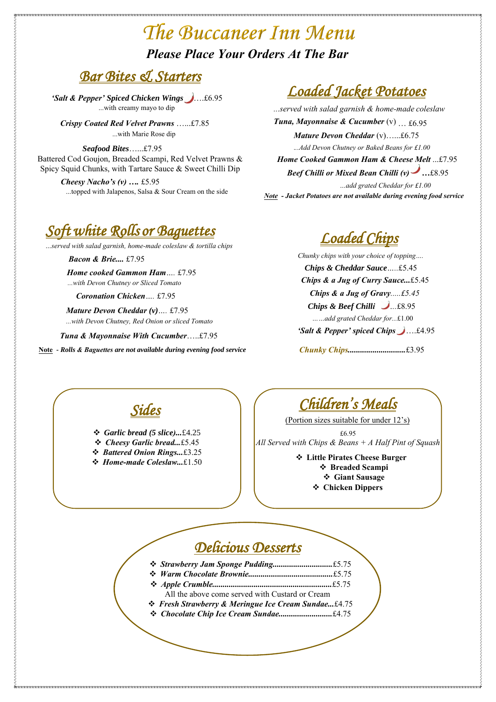## *Bar Bites & Starters*

*'Salt & Pepper' Spiced Chicken Wings* [….£](https://www.google.co.uk/url?sa=i&rct=j&q=&esrc=s&source=images&cd=&cad=rja&uact=8&ved=2ahUKEwiW79Hu_sPZAhWLuBQKHcFMD-8QjRx6BAgAEAY&url=https://www.musthavemenus.com/image/hot-pepper-menu-icon.html&psig=AOvVaw365-TcPEmlSApvV7yqbDH4&ust=1519748575345882)6.95 ...with creamy mayo to dip

*Crispy Coated Red Velvet Prawns* …...£7.85 ...with Marie Rose dip

*Seafood Bites*…...£7.95 Battered Cod Goujon, Breaded Scampi, Red Velvet Prawns & Spicy Squid Chunks, with Tartare Sauce & Sweet Chilli Dip

> *Cheesy Nacho's (v) ….* £5.95 ...topped with Jalapenos, Salsa & Sour Cream on the side

*Soft white Rolls or Baguettes* 

*…served with salad garnish, home-made coleslaw & tortilla chips*

*Coronation Chicken….* £7.95

*Tuna & Mayonnaise With Cucumber*…..£7.95

**Note** *- Rolls & Baguettes are not available during evening food service*

*Sides* 

*Garlic bread (5 slice)...*£4.25

- *Cheesy Garlic bread...*£5.45
- *Battered Onion Rings...*£3.25
- *Home-made Coleslaw...*£1.50

## *Loaded Jacket Potatoes*

# The Buccaneer Inn Menu *Please Place Your Orders At The Bar*

*Loaded Chips* 

*Home cooked Gammon Ham….* £7.95 *...with Devon Chutney or Sliced Tomato*

*Mature Devon Cheddar (v)….* £7.95 *...with Devon Chutney, Red Onion or sliced Tomato*

*Children's Meals* 

(Portion sizes suitable for under 12's)

£6.95 *All Served with Chips & Beans + A Half Pint of Squash* 

> **Little Pirates Cheese Burger Breaded Scampi Giant Sausage Chicken Dippers**

*...served with salad garnish & home-made coleslaw Tuna, Mayonnaise & Cucumber* (v) … £6.95 *Mature Devon Cheddar* (v)…...£6.75 *Home Cooked Gammon Ham & Cheese Melt* ...£7.95 .*..Add Devon Chutney or Baked Beans for £1.50 …a[dd gr](https://www.google.co.uk/url?sa=i&rct=j&q=&esrc=s&source=images&cd=&cad=rja&uact=8&ved=2ahUKEwiW79Hu_sPZAhWLuBQKHcFMD-8QjRx6BAgAEAY&url=https://www.musthavemenus.com/image/hot-pepper-menu-icon.html&psig=AOvVaw365-TcPEmlSApvV7yqbDH4&ust=1519748575345882)ated Cheddar for £1.50 Note - Jacket Potatoes are not available during evening food service Beef Chilli or Mixed Bean Chilli (v) …*£8.95

> *Chunky chips with your choice of topping…. Chips & Cheddar Sauce…..*£5.45 *Chips & a Jug of Gravy.....£5.45 Chips & Beef Chilli …..*£8.95 *……add grated Cheddar for...*£1.50 *'Salt & Pepper' spice[d C](https://www.google.co.uk/url?sa=i&rct=j&q=&esrc=s&source=images&cd=&cad=rja&uact=8&ved=2ahUKEwiW79Hu_sPZAhWLuBQKHcFMD-8QjRx6BAgAEAY&url=https://www.musthavemenus.com/image/hot-pepper-menu-icon.html&psig=AOvVaw365-TcPEmlSApvV7yqbDH4&ust=1519748575345882)hips* ….£4.95 *Chips & a Jug of Curry Sauce...*£5.45

*Bacon & Brie....* £7.95



 *Strawberry Jam Sponge Pudding.............................*£5.75 *Warm Chocolate Brownie.........................................*£5.75 *Apple Crumble..........................................................*£5.75 All the above come served with Custard or Cream *Fresh Strawberry & Meringue Ice Cream Sundae...*£4.75 *Chocolate Chip Ice Cream Sundae..........................*£4.75

*Chunky Chips............................*£3.95